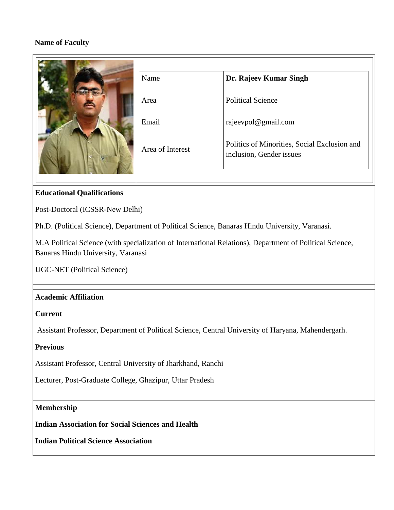# **Name of Faculty**

|  | Name             | Dr. Rajeev Kumar Singh                                                   |
|--|------------------|--------------------------------------------------------------------------|
|  | Area             | <b>Political Science</b>                                                 |
|  | Email            | rajeevpol@gmail.com                                                      |
|  | Area of Interest | Politics of Minorities, Social Exclusion and<br>inclusion, Gender issues |
|  |                  |                                                                          |

# **Educational Qualifications**

Post-Doctoral (ICSSR-New Delhi)

Ph.D. (Political Science), Department of Political Science, Banaras Hindu University, Varanasi.

M.A Political Science (with specialization of International Relations), Department of Political Science, Banaras Hindu University, Varanasi

UGC-NET (Political Science)

## **Academic Affiliation**

## **Current**

Assistant Professor, Department of Political Science, Central University of Haryana, Mahendergarh.

## **Previous**

Assistant Professor, Central University of Jharkhand, Ranchi

Lecturer, Post-Graduate College, Ghazipur, Uttar Pradesh

## **Membership**

**Indian Association for Social Sciences and Health**

**Indian Political Science Association**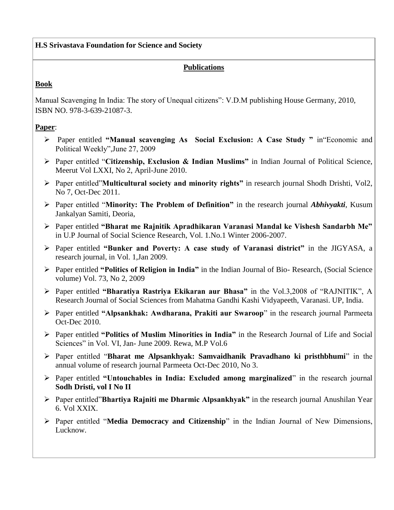## **H.S Srivastava Foundation for Science and Society**

# **Publications**

# **Book**

Manual Scavenging In India: The story of Unequal citizens": V.D.M publishing House Germany, 2010, ISBN NO. 978-3-639-21087-3.

# **Paper**:

- Paper entitled **"Manual scavenging As Social Exclusion: A Case Study "** in"Economic and Political Weekly",June 27, 2009
- Paper entitled "**Citizenship, Exclusion & Indian Muslims"** in Indian Journal of Political Science, Meerut Vol LXXI, No 2, April-June 2010.
- Paper entitled"**Multicultural society and minority rights"** in research journal Shodh Drishti, Vol2, No 7, Oct-Dec 2011.
- Paper entitled "**Minority: The Problem of Definition"** in the research journal *Abhivyakti*, Kusum Jankalyan Samiti, Deoria,
- Paper entitled **"Bharat me Rajnitik Apradhikaran Varanasi Mandal ke Vishesh Sandarbh Me"** in U.P Journal of Social Science Research, Vol. 1.No.1 Winter 2006-2007.
- Paper entitled **"Bunker and Poverty: A case study of Varanasi district"** in the JIGYASA, a research journal, in Vol. 1,Jan 2009.
- Paper entitled **"Politics of Religion in India"** in the Indian Journal of Bio- Research, (Social Science volume) Vol. 73, No 2, 2009
- Paper entitled **"Bharatiya Rastriya Ekikaran aur Bhasa"** in the Vol.3,2008 of "RAJNITIK", A Research Journal of Social Sciences from Mahatma Gandhi Kashi Vidyapeeth, Varanasi. UP, India.
- Paper entitled **"Alpsankhak: Awdharana, Prakiti aur Swaroop**" in the research journal Parmeeta Oct-Dec 2010.
- Paper entitled **"Politics of Muslim Minorities in India"** in the Research Journal of Life and Social Sciences" in Vol. VI, Jan- June 2009. Rewa, M.P Vol.6
- Paper entitled "**Bharat me Alpsankhyak: Samvaidhanik Pravadhano ki pristhbhumi**" in the annual volume of research journal Parmeeta Oct-Dec 2010, No 3.
- Paper entitled **"Untouchables in India: Excluded among marginalized**" in the research journal **Sodh Dristi, vol I No II**
- Paper entitled"**Bhartiya Rajniti me Dharmic Alpsankhyak"** in the research journal Anushilan Year 6. Vol XXIX.
- Paper entitled "**Media Democracy and Citizenship**" in the Indian Journal of New Dimensions, Lucknow.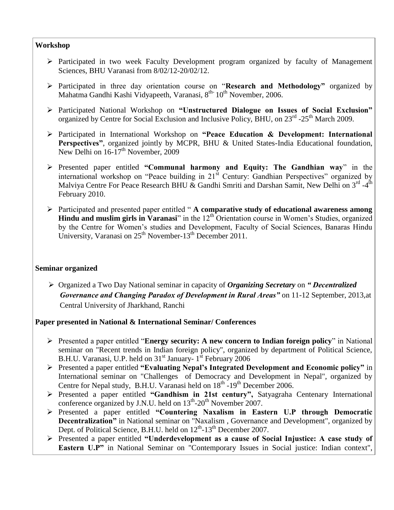#### **Workshop**

- $\triangleright$  Participated in two week Faculty Development program organized by faculty of Management Sciences, BHU Varanasi from 8/02/12-20/02/12.
- Participated in three day orientation course on "**Research and Methodology"** organized by Mahatma Gandhi Kashi Vidyapeeth, Varanasi, 8<sup>th-</sup> 10<sup>th</sup> November, 2006.
- Participated National Workshop on **"Unstructured Dialogue on Issues of Social Exclusion"** organized by Centre for Social Exclusion and Inclusive Policy, BHU, on 23<sup>rd</sup> -25<sup>th</sup> March 2009.
- Participated in International Workshop on **"Peace Education & Development: International Perspectives"**, organized jointly by MCPR, BHU & United States-India Educational foundation, New Delhi on 16-17<sup>th</sup> November, 2009
- Presented paper entitled **"Communal harmony and Equity: The Gandhian way**" in the international workshop on "Peace building in 21<sup>st</sup> Century: Gandhian Perspectives" organized by Malviya Centre For Peace Research BHU & Gandhi Smriti and Darshan Samit, New Delhi on 3<sup>rd</sup> -4<sup>th</sup> February 2010.
- Participated and presented paper entitled " **A comparative study of educational awareness among**  Hindu and muslim girls in Varanasi" in the 12<sup>th</sup> Orientation course in Women's Studies, organized by the Centre for Women's studies and Development, Faculty of Social Sciences, Banaras Hindu University, Varanasi on  $25<sup>th</sup>$  November-13<sup>th</sup> December 2011.

#### **Seminar organized**

 Organized a Two Day National seminar in capacity of *Organizing Secretary* on *" Decentralized Governance and Changing Paradox of Development in Rural Areas"* on 11-12 September, 2013,at Central University of Jharkhand, Ranchi

## **Paper presented in National & International Seminar/ Conferences**

- Presented a paper entitled "**Energy security: A new concern to Indian foreign policy**" in National seminar on "Recent trends in Indian foreign policy", organized by department of Political Science, B.H.U. Varanasi, U.P. held on 31<sup>st</sup> January- 1<sup>st</sup> February 2006
- Presented a paper entitled **"Evaluating Nepal's Integrated Development and Economic policy"** in International seminar on "Challenges of Democracy and Development in Nepal", organized by Centre for Nepal study, B.H.U. Varanasi held on  $18<sup>th</sup> - 19<sup>th</sup>$  December 2006.
- Presented a paper entitled **"Gandhism in 21st century",** Satyagraha Centenary International conference organized by J.N.U. held on  $13<sup>th</sup>$ -20<sup>th</sup> November 2007.
- Presented a paper entitled **"Countering Naxalism in Eastern U.P through Democratic Decentralization"** in National seminar on "Naxalism , Governance and Development", organized by Dept. of Political Science, B.H.U. held on  $12<sup>th</sup>$ -13<sup>th</sup> December 2007.
- Presented a paper entitled **"Underdevelopment as a cause of Social Injustice: A case study of Eastern U.P"** in National Seminar on "Contemporary Issues in Social justice: Indian context",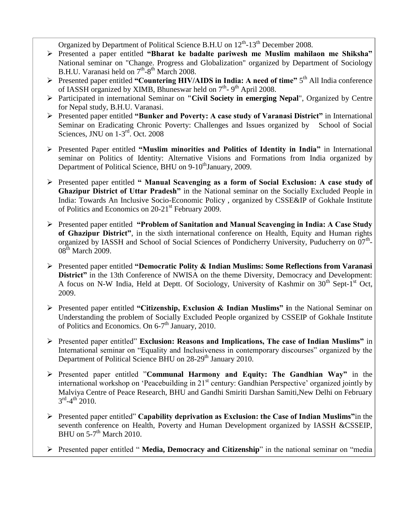Organized by Department of Political Science B.H.U on  $12^{th}$ -13<sup>th</sup> December 2008.

- Presented a paper entitled **"Bharat ke badalte pariwesh me Muslim mahilaon me Shiksha"**  National seminar on "Change. Progress and Globalization" organized by Department of Sociology B.H.U. Varanasi held on 7<sup>th</sup>-8<sup>th</sup> March 2008.
- ▶ Presented paper entitled "Countering HIV/AIDS in India: A need of time" 5<sup>th</sup> All India conference of IASSH organized by XIMB, Bhuneswar held on  $7<sup>th</sup>$ -9<sup>th</sup> April 2008.
- Participated in international Seminar on **"Civil Society in emerging Nepal**", Organized by Centre for Nepal study, B.H.U. Varanasi.
- Presented paper entitled **"Bunker and Poverty: A case study of Varanasi District"** in International Seminar on Eradicating Chronic Poverty: Challenges and Issues organized by School of Social Sciences, JNU on 1-3<sup>rd</sup>. Oct. 2008
- Presented Paper entitled **"Muslim minorities and Politics of Identity in India"** in International seminar on Politics of Identity: Alternative Visions and Formations from India organized by Department of Political Science, BHU on 9-10<sup>th</sup>January, 2009.
- Presented paper entitled **" Manual Scavenging as a form of Social Exclusion: A case study of Ghazipur District of Uttar Pradesh"** in the National seminar on the Socially Excluded People in India: Towards An Inclusive Socio-Economic Policy , organized by CSSE&IP of Gokhale Institute of Politics and Economics on 20-21<sup>st</sup> February 2009.
- Presented paper entitled **"Problem of Sanitation and Manual Scavenging in India: A Case Study of Ghazipur District"**, in the sixth international conference on Health, Equity and Human rights organized by IASSH and School of Social Sciences of Pondicherry University, Puducherry on 07<sup>th</sup>- $08<sup>th</sup>$  March 2009.
- Presented paper entitled **"Democratic Polity & Indian Muslims: Some Reflections from Varanasi District**" in the 13th Conference of NWISA on the theme Diversity, Democracy and Development: A focus on N-W India, Held at Deptt. Of Sociology, University of Kashmir on  $30<sup>th</sup>$  Sept-1<sup>st</sup> Oct, 2009.
- Presented paper entitled **"Citizenship, Exclusion & Indian Muslims" i**n the National Seminar on Understanding the problem of Socially Excluded People organized by CSSEIP of Gokhale Institute of Politics and Economics. On 6-7<sup>th</sup> January, 2010.
- Presented paper entitled" **Exclusion: Reasons and Implications, The case of Indian Muslims"** in International seminar on "Equality and Inclusiveness in contemporary discourses" organized by the Department of Political Science BHU on 28-29<sup>th</sup> January 2010.
- Presented paper entitled "**Communal Harmony and Equity: The Gandhian Way"** in the international workshop on 'Peacebuilding in 21<sup>st</sup> century: Gandhian Perspective' organized jointly by Malviya Centre of Peace Research, BHU and Gandhi Smiriti Darshan Samiti,New Delhi on February  $3^{\text{rd}} - 4^{\text{th}}$  2010.
- Presented paper entitled" **Capability deprivation as Exclusion: the Case of Indian Muslims"**in the seventh conference on Health, Poverty and Human Development organized by IASSH &CSSEIP, BHU on  $5\text{-}7^{\text{th}}$  March 2010.
- Presented paper entitled " **Media, Democracy and Citizenship**" in the national seminar on "media